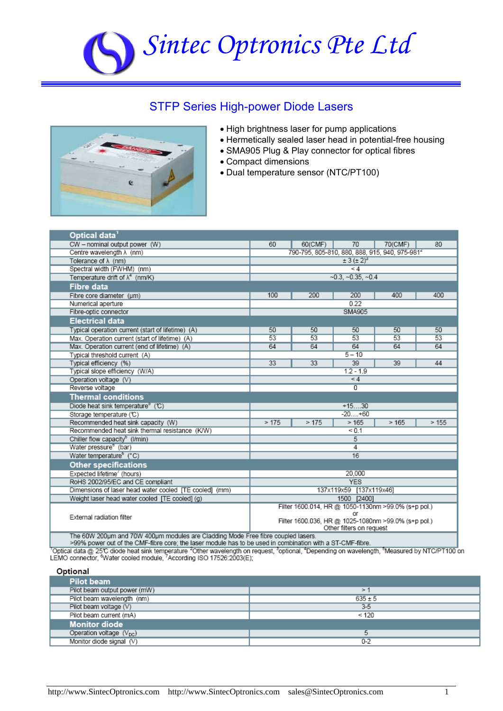

## STFP Series High-power Diode Lasers



- High brightness laser for pump applications
- Hermetically sealed laser head in potential-free housing
- SMA905 Plug & Play connector for optical fibres
- Compact dimensions
- Dual temperature sensor (NTC/PT100)

| Optical data                                                                     |                                                            |         |                          |                                                     |      |
|----------------------------------------------------------------------------------|------------------------------------------------------------|---------|--------------------------|-----------------------------------------------------|------|
| CW - nominal output power (W)                                                    | 60                                                         | 60(CMF) | 70                       | 70(CMF)                                             | 80   |
| Centre wavelength $\lambda$ (nm)                                                 | 790-795, 805-810, 880, 888, 915, 940, 975-981 <sup>2</sup> |         |                          |                                                     |      |
| Tolerance of $\lambda$ (nm)                                                      | $\pm 3 ( \pm 2)^3$                                         |         |                          |                                                     |      |
| Spectral width (FWHM) (nm)                                                       | $\leq 4$                                                   |         |                          |                                                     |      |
| Temperature drift of $\lambda^4$ (nm/K)                                          | $-0.3, -0.35, -0.4$                                        |         |                          |                                                     |      |
| <b>Fibre data</b>                                                                |                                                            |         |                          |                                                     |      |
| Fibre core diameter (um)                                                         | 100                                                        | 200     | 200                      | 400                                                 | 400  |
| Numerical aperture                                                               | 0.22                                                       |         |                          |                                                     |      |
| Fibre-optic connector                                                            | SMA905                                                     |         |                          |                                                     |      |
| <b>Electrical data</b>                                                           |                                                            |         |                          |                                                     |      |
| Typical operation current (start of lifetime) (A)                                | 50                                                         | 50      | 50                       | 50                                                  | 50   |
| Max. Operation current (start of lifetime) (A)                                   | 53                                                         | 53      | 53                       | 53                                                  | 53   |
| Max. Operation current (end of lifetime) (A)                                     | 64                                                         | 64      | 64                       | 64                                                  | 64   |
| Typical threshold current (A)                                                    | $5 - 10$                                                   |         |                          |                                                     |      |
| Typical efficiency (%)                                                           | 33                                                         | 33      | 39                       | 39                                                  | 44   |
| Typical slope efficiency (W/A)                                                   | $1.2 - 1.9$                                                |         |                          |                                                     |      |
| Operation voltage (V)                                                            | $\leq 4$                                                   |         |                          |                                                     |      |
| Reverse voltage                                                                  | $\overline{0}$                                             |         |                          |                                                     |      |
| <b>Thermal conditions</b>                                                        |                                                            |         |                          |                                                     |      |
| Diode heat sink temperature <sup>®</sup> (℃)                                     | $+1530$                                                    |         |                          |                                                     |      |
| Storage temperature (°C)                                                         | $-20+60$                                                   |         |                          |                                                     |      |
| Recommended heat sink capacity (W)                                               | >175                                                       | >175    | >165                     | >165                                                | >155 |
| Recommended heat sink thermal resistance (K/W)                                   | 50.1                                                       |         |                          |                                                     |      |
| Chiller flow capacity <sup>b</sup> (l/min)                                       | 5                                                          |         |                          |                                                     |      |
| Water pressure <sup>®</sup> (bar)                                                | $\overline{4}$                                             |         |                          |                                                     |      |
| Water temperature <sup>b</sup> (°C)                                              | 16                                                         |         |                          |                                                     |      |
| <b>Other specifications</b>                                                      |                                                            |         |                          |                                                     |      |
| Expected lifetime' (hours)                                                       | 20,000                                                     |         |                          |                                                     |      |
| RoHS 2002/95/EC and CE compliant                                                 | <b>YES</b>                                                 |         |                          |                                                     |      |
| Dimensions of laser head water cooled [TE cooled] (mm)                           | 137x119x59 [137x119x46]                                    |         |                          |                                                     |      |
| Weight laser head water cooled [TE cooled] (g)                                   | 1500 [2400]                                                |         |                          |                                                     |      |
|                                                                                  | Filter 1600.014, HR @ 1050-1130nm >99.0% (s+p pol.)        |         |                          |                                                     |      |
| External radiation filter                                                        |                                                            |         | or                       |                                                     |      |
|                                                                                  |                                                            |         | Other filters on request | Filter 1600.036, HR @ 1025-1080nm >99.0% (s+p pol.) |      |
| The 60W 200um and 70W 400um modules are Cladding Mode Free fibre coupled lasers. |                                                            |         |                          |                                                     |      |

Free final of the CMF-fibre core; the laser module has to be used in combination with a ST-CMF-fibre.<br>Toptical data @ 25℃ diode heat sink temperature <sup>2</sup>Other wavelength on request, <sup>3</sup>optional, "Depending on wavelength,

Optional

| <b>Pilot beam</b>                   |             |
|-------------------------------------|-------------|
| Pilot beam output power (mW)        | $\geq$      |
| Pilot beam wavelength (nm)          | $635 \pm 5$ |
| Pilot beam voltage (V)              | $3-5$       |
| Pilot beam current (mA)             | < 120       |
| <b>Monitor diode</b>                |             |
| Operation voltage $(V_{\text{DC}})$ |             |
| Monitor diode signal (V)            | $0 - 2$     |